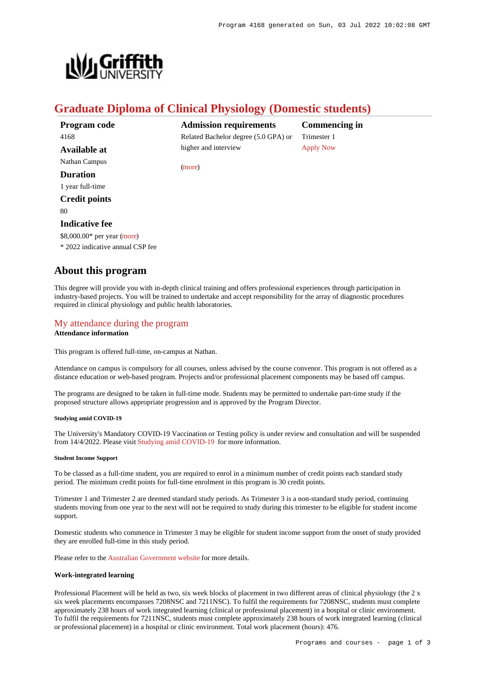

# **Graduate Diploma of Clinical Physiology (Domestic students)**

| Program code                     | Adm    |
|----------------------------------|--------|
| 4168                             | Relate |
| Available at                     | higher |
| Nathan Campus                    | (more) |
| Duration                         |        |
| 1 year full-time                 |        |
| <b>Credit points</b>             |        |
| 80                               |        |
| <b>Indicative fee</b>            |        |
| \$8,000.00* per year (more)      |        |
| * 2022 indicative annual CSP fee |        |

**Admission requirements** ed Bachelor degree (5.0 GPA) or and interview

**Commencing in** Trimester 1 [Apply Now](https://www148.griffith.edu.au/programs-courses/Program/4168/HowToApply/Domestic#process)

ve annual CS

## **About this program**

This degree will provide you with in-depth clinical training and offers professional experiences through participation in industry-based projects. You will be trained to undertake and accept responsibility for the array of diagnostic procedures required in clinical physiology and public health laboratories.

# [My attendance during the program](https://www148.griffith.edu.au/programs-courses/Program/4168/Overview/Domestic#attendance)

**Attendance information**

This program is offered full-time, on-campus at Nathan.

Attendance on campus is compulsory for all courses, unless advised by the course convenor. This program is not offered as a distance education or web-based program. Projects and/or professional placement components may be based off campus.

The programs are designed to be taken in full-time mode. Students may be permitted to undertake part-time study if the proposed structure allows appropriate progression and is approved by the Program Director.

## **Studying amid COVID-19**

The University's Mandatory COVID-19 Vaccination or Testing policy is under review and consultation and will be suspended from 14/4/2022. Please visit [Studying amid COVID-19](https://www.griffith.edu.au/coronavirus/studying-amid-covid-19) for more information.

#### **Student Income Support**

To be classed as a full-time student, you are required to enrol in a minimum number of credit points each standard study period. The minimum credit points for full-time enrolment in this program is 30 credit points.

Trimester 1 and Trimester 2 are deemed standard study periods. As Trimester 3 is a non-standard study period, continuing students moving from one year to the next will not be required to study during this trimester to be eligible for student income support.

Domestic students who commence in Trimester 3 may be eligible for student income support from the onset of study provided they are enrolled full-time in this study period.

Please refer to the [Australian Government website](https://www.humanservices.gov.au/customer/dhs/centrelink) for more details.

## **Work-integrated learning**

Professional Placement will be held as two, six week blocks of placement in two different areas of clinical physiology (the 2 x six week placements encompasses 7208NSC and 7211NSC). To fulfil the requirements for 7208NSC, students must complete approximately 238 hours of work integrated learning (clinical or professional placement) in a hospital or clinic environment. To fulfil the requirements for 7211NSC, students must complete approximately 238 hours of work integrated learning (clinical or professional placement) in a hospital or clinic environment. Total work placement (hours): 476.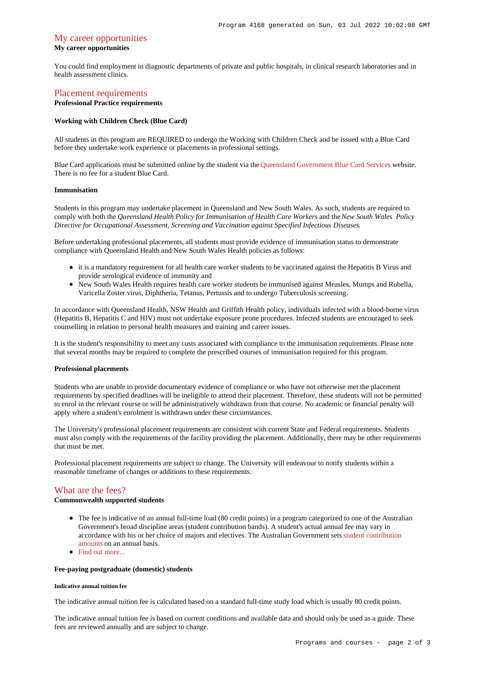## [My career opportunities](https://www148.griffith.edu.au/programs-courses/Program/4168/Overview/Domestic#opportunities)

## **My career opportunities**

You could find employment in diagnostic departments of private and public hospitals, in clinical research laboratories and in health assessment clinics.

## [Placement requirements](https://www148.griffith.edu.au/programs-courses/Program/4168/Overview/Domestic#placement)

## **Professional Practice requirements**

#### **Working with Children Check (Blue Card)**

All students in this program are REQUIRED to undergo the Working with Children Check and be issued with a Blue Card before they undertake work experience or placements in professional settings.

Blue Card applications must be submitted online by the student via the [Queensland Government Blue Card Services](https://www.bluecard.qld.gov.au/) website. There is no fee for a student Blue Card.

## **Immunisation**

Students in this program may undertake placement in Queensland and New South Wales. As such, students are required to comply with both the *Queensland Health Policy for Immunisation of Health Care Workers* and the *New South Wales Policy Directive for Occupational Assessment, Screening and Vaccination against Specified Infectious Diseases*.

Before undertaking professional placements, all students must provide evidence of immunisation status to demonstrate compliance with Queensland Health and New South Wales Health policies as follows:

- it is a mandatory requirement for all health care worker students to be vaccinated against the Hepatitis B Virus and provide serological evidence of immunity and
- New South Wales Health requires health care worker students be immunised against Measles, Mumps and Rubella, Varicella Zoster virus, Diphtheria, Tetanus, Pertussis and to undergo Tuberculosis screening.

In accordance with Queensland Health, NSW Health and Griffith Health policy, individuals infected with a blood-borne virus (Hepatitis B, Hepatitis C and HIV) must not undertake exposure prone procedures. Infected students are encouraged to seek counselling in relation to personal health measures and training and career issues.

It is the student's responsibility to meet any costs associated with compliance to the immunisation requirements. Please note that several months may be required to complete the prescribed courses of immunisation required for this program.

#### **Professional placements**

Students who are unable to provide documentary evidence of compliance or who have not otherwise met the placement requirements by specified deadlines will be ineligible to attend their placement. Therefore, these students will not be permitted to enrol in the relevant course or will be administratively withdrawn from that course. No academic or financial penalty will apply where a student's enrolment is withdrawn under these circumstances.

The University's professional placement requirements are consistent with current State and Federal requirements. Students must also comply with the requirements of the facility providing the placement. Additionally, there may be other requirements that must be met.

Professional placement requirements are subject to change. The University will endeavour to notify students within a reasonable timeframe of changes or additions to these requirements.

## [What are the fees?](https://www148.griffith.edu.au/programs-courses/Program/4168/Overview/Domestic#fees)

## **Commonwealth supported students**

- The fee is indicative of an annual full-time load (80 credit points) in a program categorized to one of the Australian Government's broad discipline areas (student contribution bands). A student's actual annual fee may vary in accordance with his or her choice of majors and electives. The Australian Government sets [student contribution](http://studyassist.gov.au/sites/studyassist/helppayingmyfees/csps/pages/student-contribution-amounts) [amounts](http://studyassist.gov.au/sites/studyassist/helppayingmyfees/csps/pages/student-contribution-amounts) on an annual basis.
- Find out more...

## **Fee-paying postgraduate (domestic) students**

#### **Indicative annual tuition fee**

The indicative annual tuition fee is calculated based on a standard full-time study load which is usually 80 credit points.

The indicative annual tuition fee is based on current conditions and available data and should only be used as a guide. These fees are reviewed annually and are subject to change.